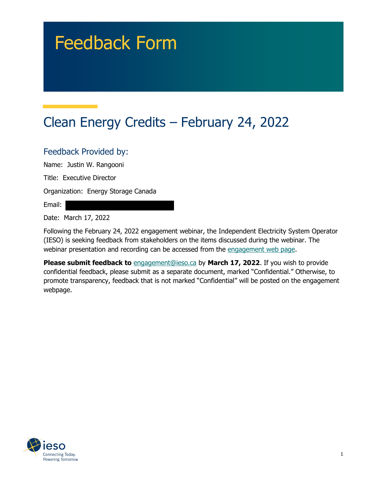# Feedback Form

# Clean Energy Credits – February 24, 2022

#### Feedback Provided by:

Name: Justin W. Rangooni

Title: Executive Director

Organization: Energy Storage Canada

Email:

Date: March 17, 2022

Following the February 24, 2022 engagement webinar, the Independent Electricity System Operator (IESO) is seeking feedback from stakeholders on the items discussed during the webinar. The webinar presentation and recording can be accessed from the engagement web page.

**Please submit feedback to** engagement@ieso.ca by March 17, 2022. If you wish to provide confidential feedback, please submit as a separate document, marked "Confidential." Otherwise, to promote transparency, feedback that is not marked "Confidential" will be posted on the engagement webpage.

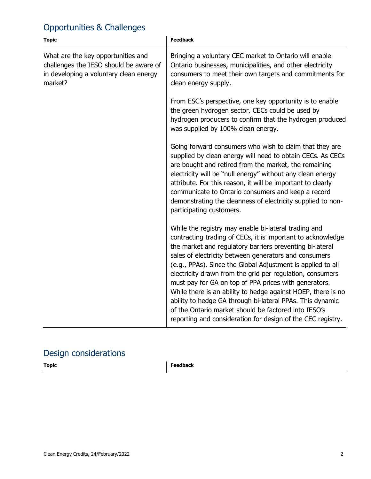### Opportunities & Challenges

| <b>Topic</b>                                                                                                                      | <b>Feedback</b>                                                                                                                                                                                                                                                                                                                                                                                                                                                                                                                                                                                                                                                                   |
|-----------------------------------------------------------------------------------------------------------------------------------|-----------------------------------------------------------------------------------------------------------------------------------------------------------------------------------------------------------------------------------------------------------------------------------------------------------------------------------------------------------------------------------------------------------------------------------------------------------------------------------------------------------------------------------------------------------------------------------------------------------------------------------------------------------------------------------|
| What are the key opportunities and<br>challenges the IESO should be aware of<br>in developing a voluntary clean energy<br>market? | Bringing a voluntary CEC market to Ontario will enable<br>Ontario businesses, municipalities, and other electricity<br>consumers to meet their own targets and commitments for<br>clean energy supply.                                                                                                                                                                                                                                                                                                                                                                                                                                                                            |
|                                                                                                                                   | From ESC's perspective, one key opportunity is to enable<br>the green hydrogen sector. CECs could be used by<br>hydrogen producers to confirm that the hydrogen produced<br>was supplied by 100% clean energy.                                                                                                                                                                                                                                                                                                                                                                                                                                                                    |
|                                                                                                                                   | Going forward consumers who wish to claim that they are<br>supplied by clean energy will need to obtain CECs. As CECs<br>are bought and retired from the market, the remaining<br>electricity will be "null energy" without any clean energy<br>attribute. For this reason, it will be important to clearly<br>communicate to Ontario consumers and keep a record<br>demonstrating the cleanness of electricity supplied to non-<br>participating customers.                                                                                                                                                                                                                      |
|                                                                                                                                   | While the registry may enable bi-lateral trading and<br>contracting trading of CECs, it is important to acknowledge<br>the market and regulatory barriers preventing bi-lateral<br>sales of electricity between generators and consumers<br>(e.g., PPAs). Since the Global Adjustment is applied to all<br>electricity drawn from the grid per regulation, consumers<br>must pay for GA on top of PPA prices with generators.<br>While there is an ability to hedge against HOEP, there is no<br>ability to hedge GA through bi-lateral PPAs. This dynamic<br>of the Ontario market should be factored into IESO's<br>reporting and consideration for design of the CEC registry. |

## Design considerations

| <b>Topic</b> | Feedback<br>_ _ _ _ _ |
|--------------|-----------------------|
|              |                       |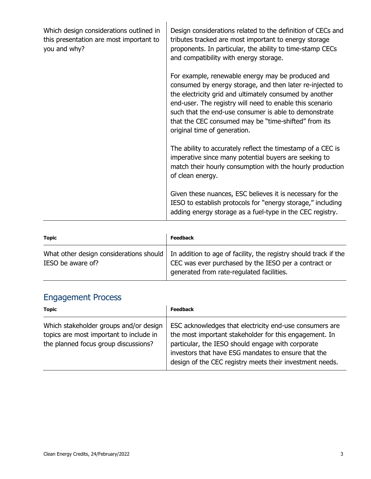| Which design considerations outlined in<br>this presentation are most important to<br>you and why? | Design considerations related to the definition of CECs and<br>tributes tracked are most important to energy storage<br>proponents. In particular, the ability to time-stamp CECs<br>and compatibility with energy storage.                                                                                                                                                            |
|----------------------------------------------------------------------------------------------------|----------------------------------------------------------------------------------------------------------------------------------------------------------------------------------------------------------------------------------------------------------------------------------------------------------------------------------------------------------------------------------------|
|                                                                                                    | For example, renewable energy may be produced and<br>consumed by energy storage, and then later re-injected to<br>the electricity grid and ultimately consumed by another<br>end-user. The registry will need to enable this scenario<br>such that the end-use consumer is able to demonstrate<br>that the CEC consumed may be "time-shifted" from its<br>original time of generation. |
|                                                                                                    | The ability to accurately reflect the timestamp of a CEC is<br>imperative since many potential buyers are seeking to<br>match their hourly consumption with the hourly production<br>of clean energy.                                                                                                                                                                                  |
|                                                                                                    | Given these nuances, ESC believes it is necessary for the<br>IESO to establish protocols for "energy storage," including<br>adding energy storage as a fuel-type in the CEC registry.                                                                                                                                                                                                  |

| Topic             | <b>Feedback</b>                                                                                                                                                                                                 |
|-------------------|-----------------------------------------------------------------------------------------------------------------------------------------------------------------------------------------------------------------|
| IESO be aware of? | What other design considerations should   In addition to age of facility, the registry should track if the<br>CEC was ever purchased by the IESO per a contract or<br>generated from rate-regulated facilities. |

### Engagement Process

| <b>Topic</b>                                                                                                              | <b>Feedback</b>                                                                                                                                                                                                                                                                           |
|---------------------------------------------------------------------------------------------------------------------------|-------------------------------------------------------------------------------------------------------------------------------------------------------------------------------------------------------------------------------------------------------------------------------------------|
| Which stakeholder groups and/or design<br>topics are most important to include in<br>the planned focus group discussions? | ESC acknowledges that electricity end-use consumers are<br>the most important stakeholder for this engagement. In<br>particular, the IESO should engage with corporate<br>investors that have ESG mandates to ensure that the<br>design of the CEC registry meets their investment needs. |